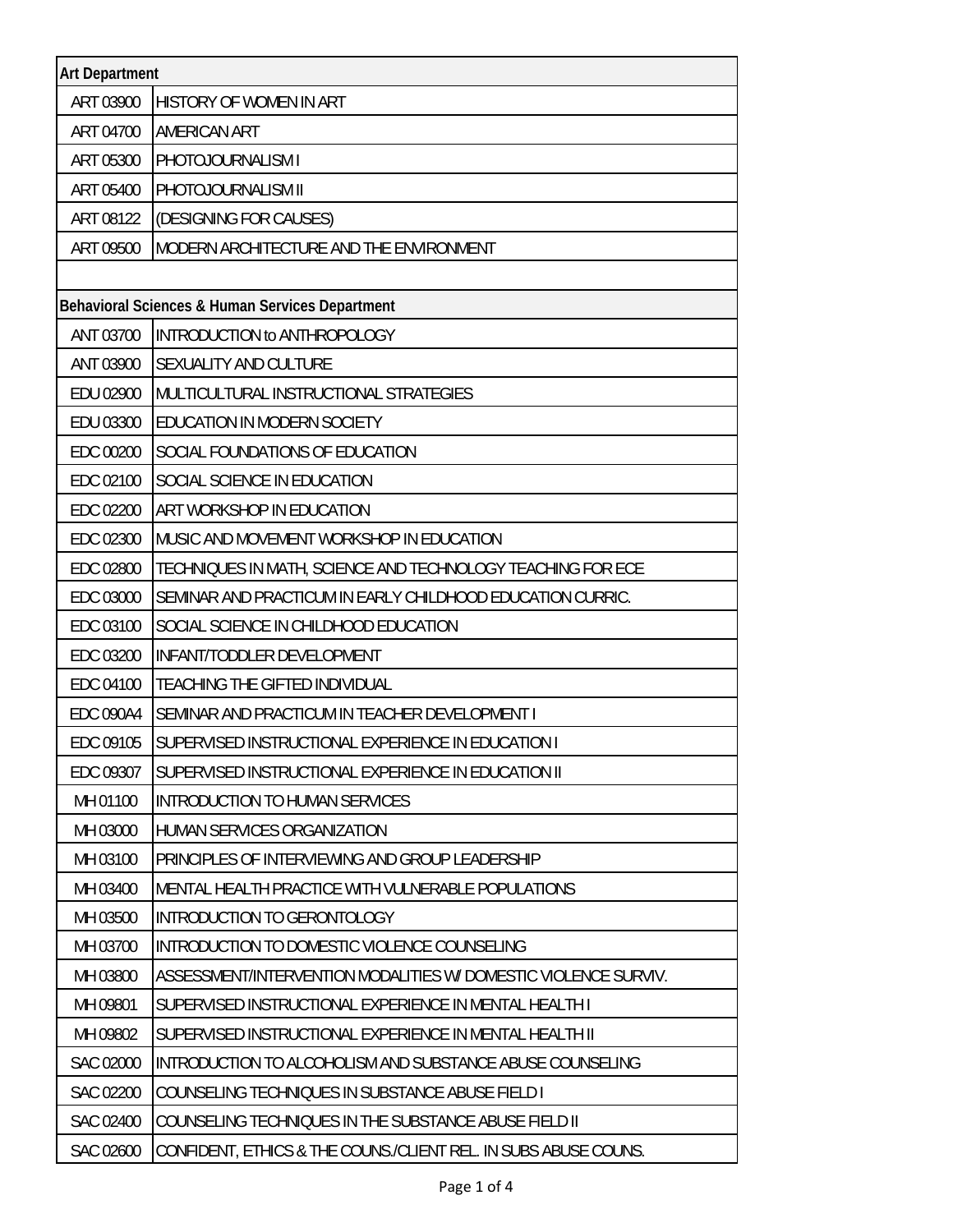| <b>Art Department</b>                           |                                                                 |  |
|-------------------------------------------------|-----------------------------------------------------------------|--|
| ART 03900                                       | HISTORY OF WOMEN IN ART                                         |  |
| ART 04700                                       | <b>AMERICAN ART</b>                                             |  |
| ART 05300                                       | PHOTOJOURNALISM I                                               |  |
| ART 05400                                       | PHOTOJOURNALISM II                                              |  |
| ART 08122                                       | (DESIGNING FOR CAUSES)                                          |  |
| ART 09500                                       | MODERN ARCHITECTURE AND THE ENVIRONMENT                         |  |
|                                                 |                                                                 |  |
| Behavioral Sciences & Human Services Department |                                                                 |  |
| ANT 03700                                       | INTRODUCTION to ANTHROPOLOGY                                    |  |
| ANT 03900                                       | SEXUALITY AND CULTURE                                           |  |
| EDU 02900                                       | MULTICULTURAL INSTRUCTIONAL STRATEGIES                          |  |
| EDU 03300                                       | EDUCATION IN MODERN SOCIETY                                     |  |
| EDC 00200                                       | SOCIAL FOUNDATIONS OF EDUCATION                                 |  |
| EDC 02100                                       | SOCIAL SCIENCE IN EDUCATION                                     |  |
| EDC 02200                                       | ART WORKSHOP IN EDUCATION                                       |  |
| EDC 02300                                       | MUSIC AND MOVEMENT WORKSHOP IN EDUCATION                        |  |
| EDC 02800                                       | TECHNIQUES IN MATH, SCIENCE AND TECHNOLOGY TEACHING FOR ECE     |  |
| EDC 03000                                       | SEMINAR AND PRACTICUM IN EARLY CHILDHOOD EDUCATION CURRIC.      |  |
| EDC 03100                                       | SOCIAL SCIENCE IN CHILDHOOD EDUCATION                           |  |
| EDC 03200                                       | INFANT/TODDLER DEVELOPMENT                                      |  |
| EDC 04100                                       | <b>TEACHING THE GIFTED INDIVIDUAL</b>                           |  |
| <b>EDC 090A4</b>                                | SEMINAR AND PRACTICUM IN TEACHER DEVELOPMENT I                  |  |
| EDC 09105                                       | SUPERVISED INSTRUCTIONAL EXPERIENCE IN EDUCATION I              |  |
| EDC 09307                                       | SUPERVISED INSTRUCTIONAL EXPERIENCE IN EDUCATION II             |  |
| MH 01100                                        | <b>INTRODUCTION TO HUMAN SERVICES</b>                           |  |
| MH 03000                                        | HUMAN SERVICES ORGANIZATION                                     |  |
| MH 03100                                        | PRINCIPLES OF INTERVIEWING AND GROUP LEADERSHIP                 |  |
| MH 03400                                        | MENTAL HEALTH PRACTICE WITH VULNERABLE POPULATIONS              |  |
| MH 03500                                        | INTRODUCTION TO GERONTOLOGY                                     |  |
| MH 03700                                        | INTRODUCTION TO DOMESTIC VIOLENCE COUNSELING                    |  |
| MH 03800                                        | ASSESSMENT/INTERVENTION MODALITIES W/ DOMESTIC VIOLENCE SURVIV. |  |
| MH 09801                                        | SUPERVISED INSTRUCTIONAL EXPERIENCE IN MENTAL HEALTH I          |  |
| MH 09802                                        | SUPERVISED INSTRUCTIONAL EXPERIENCE IN MENTAL HEALTH II         |  |
| SAC 02000                                       | INTRODUCTION TO ALCOHOLISM AND SUBSTANCE ABUSE COUNSELING       |  |
| SAC 02200                                       | COUNSELING TECHNIQUES IN SUBSTANCE ABUSE FIELD I                |  |
| SAC 02400                                       | COUNSELING TECHNIQUES IN THE SUBSTANCE ABUSE FIELD II           |  |
| SAC 02600                                       | CONFIDENT, ETHICS & THE COUNS./CLIENT REL. IN SUBS ABUSE COUNS. |  |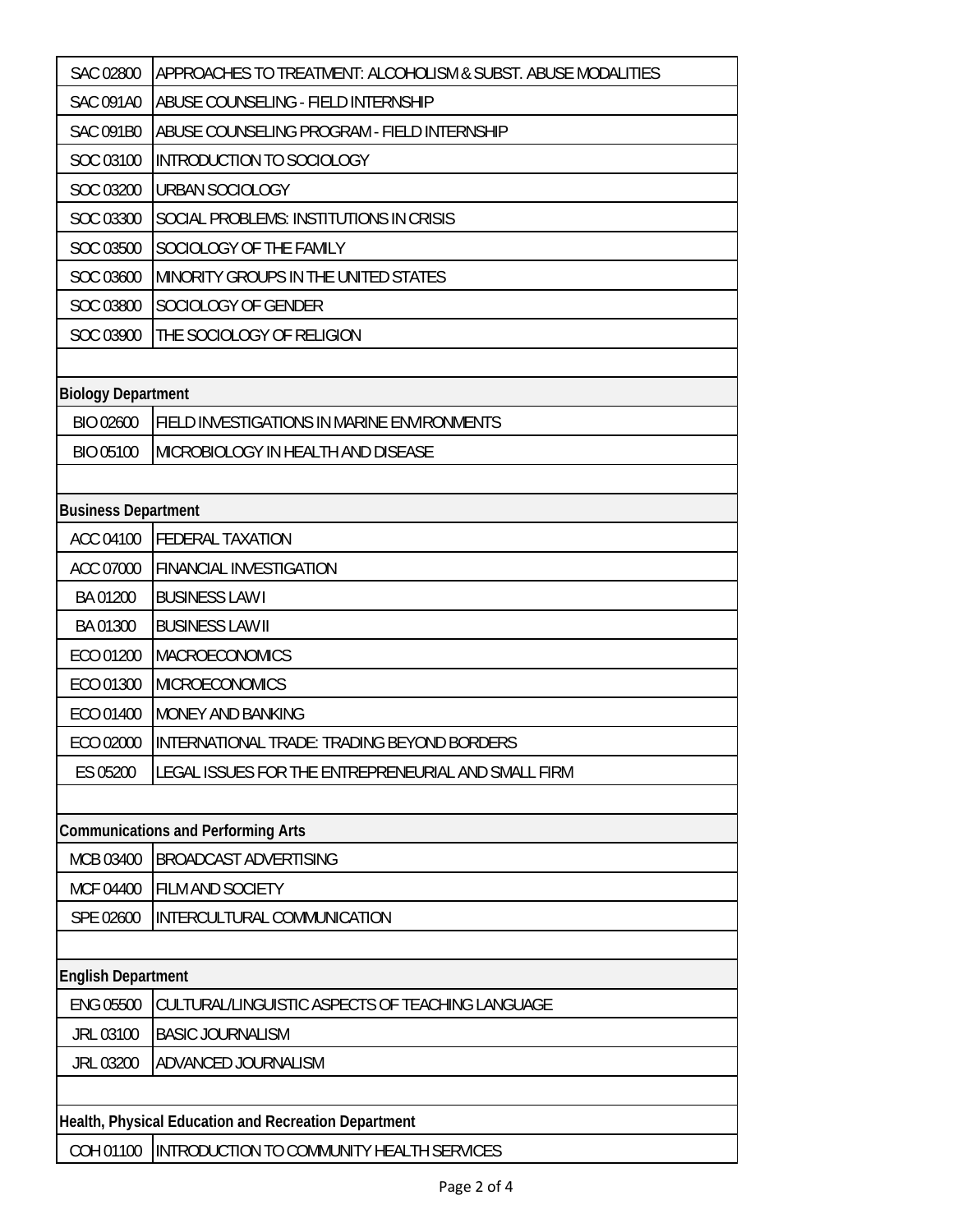| <b>SAC 02800</b>                                     | APPROACHES TO TREATMENT: ALCOHOLISM & SUBST. ABUSE MODALITIES |  |
|------------------------------------------------------|---------------------------------------------------------------|--|
| <b>SAC 091A0</b>                                     | ABUSE COUNSELING - FIELD INTERNSHIP                           |  |
| <b>SAC 091B0</b>                                     | ABUSE COUNSELING PROGRAM - FIELD INTERNSHIP                   |  |
| SOC 03100                                            | INTRODUCTION TO SOCIOLOGY                                     |  |
| SOC 03200                                            | <b>URBAN SOCIOLOGY</b>                                        |  |
| SOC 03300                                            | SOCIAL PROBLEMS: INSTITUTIONS IN CRISIS                       |  |
| SOC 03500                                            | SOCIOLOGY OF THE FAMILY                                       |  |
| SOC 03600                                            | MINORITY GROUPS IN THE UNITED STATES                          |  |
| SOC 03800                                            | SOCIOLOGY OF GENDER                                           |  |
| SOC 03900                                            | THE SOCIOLOGY OF RELIGION                                     |  |
|                                                      |                                                               |  |
| <b>Biology Department</b>                            |                                                               |  |
| BIO 02600                                            | FIELD INVESTIGATIONS IN MARINE ENVIRONMENTS                   |  |
| <b>BIO 05100</b>                                     | MICROBIOLOGY IN HEALTH AND DISEASE                            |  |
|                                                      |                                                               |  |
| <b>Business Department</b>                           |                                                               |  |
| ACC 04100                                            | <b>FEDERAL TAXATION</b>                                       |  |
| ACC 07000                                            | <b>FINANCIAL INVESTIGATION</b>                                |  |
| BA 01200                                             | <b>BUSINESS LAW I</b>                                         |  |
| BA 01300                                             | <b>BUSINESS LAW II</b>                                        |  |
| ECO 01200                                            | MACROECONOMICS                                                |  |
| ECO 01300                                            | <b>MICROECONOMICS</b>                                         |  |
| ECO 01400                                            | MONEY AND BANKING                                             |  |
| ECO 02000                                            | INTERNATIONAL TRADE: TRADING BEYOND BORDERS                   |  |
| ES 05200                                             | LEGAL ISSUES FOR THE ENTREPRENEURIAL AND SMALL FIRM           |  |
|                                                      |                                                               |  |
|                                                      | <b>Communications and Performing Arts</b>                     |  |
| MCB 03400                                            | <b>BROADCAST ADVERTISING</b>                                  |  |
| MCF 04400                                            | FILM AND SOCIETY                                              |  |
| SPE 02600                                            | INTERCULTURAL COMMUNICATION                                   |  |
|                                                      |                                                               |  |
| <b>English Department</b>                            |                                                               |  |
| <b>ENG 05500</b>                                     | CULTURAL/LINGUISTIC ASPECTS OF TEACHING LANGUAGE              |  |
| JRL 03100                                            | <b>BASIC JOURNALISM</b>                                       |  |
| JRL 03200                                            | ADVANCED JOURNALISM                                           |  |
|                                                      |                                                               |  |
| Health, Physical Education and Recreation Department |                                                               |  |
| COH 01100                                            | INTRODUCTION TO COMMUNITY HEALTH SERVICES                     |  |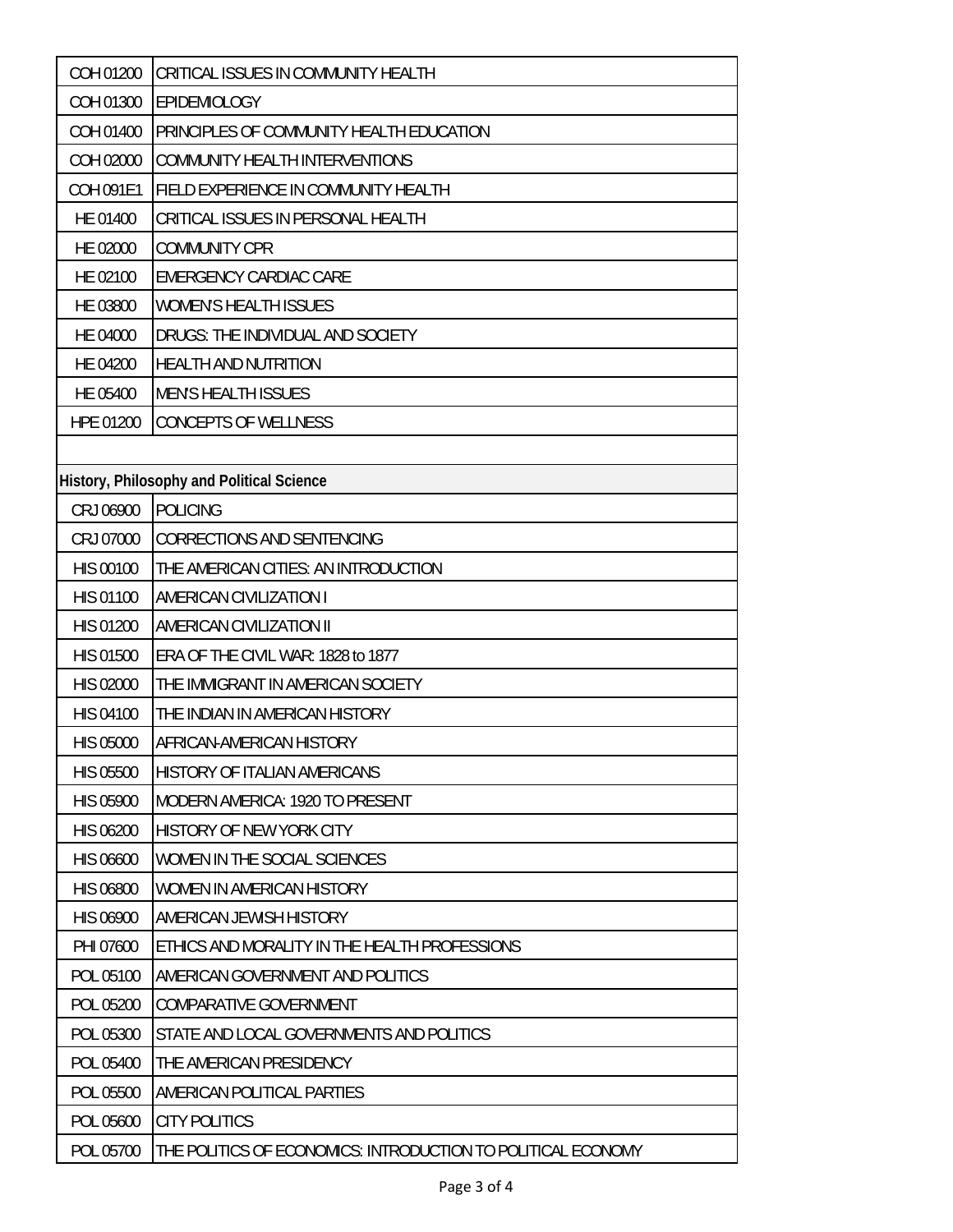| COH 01200        | CRITICAL ISSUES IN COMMUNITY HEALTH                          |
|------------------|--------------------------------------------------------------|
| COH 01300        | <b>EPIDEMIOLOGY</b>                                          |
| COH 01400        | PRINCIPLES OF COMMUNITY HEALTH EDUCATION                     |
| COH 02000        | COMMUNITY HEALTH INTERVENTIONS                               |
| COH 091E1        | FIELD EXPERIENCE IN COMMUNITY HEALTH                         |
| HE 01400         | CRITICAL ISSUES IN PERSONAL HEALTH                           |
| HE 02000         | <b>COMMUNITY CPR</b>                                         |
| HE 02100         | <b>EMERGENCY CARDIAC CARE</b>                                |
| HE 03800         | <b>WOMEN'S HEALTH ISSUES</b>                                 |
| HE 04000         | DRUGS: THE INDIVIDUAL AND SOCIETY                            |
| HE 04200         | HEALTH AND NUTRITION                                         |
| HE 05400         | <b>MEN'S HEALTH ISSUES</b>                                   |
| HPE 01200        | <b>CONCEPTS OF WELLNESS</b>                                  |
|                  |                                                              |
|                  | History, Philosophy and Political Science                    |
| CRJ 06900        | <b>POLICING</b>                                              |
| CRJ 07000        | <b>CORRECTIONS AND SENTENCING</b>                            |
| <b>HIS 00100</b> | THE AMERICAN CITIES: AN INTRODUCTION                         |
| <b>HIS 01100</b> | <b>AMERICAN CIVILIZATION I</b>                               |
| <b>HIS 01200</b> | <b>AMERICAN CIVILIZATION II</b>                              |
| <b>HIS 01500</b> | ERA OF THE CIVIL WAR: 1828 to 1877                           |
| <b>HIS 02000</b> | THE IMMIGRANT IN AMERICAN SOCIETY                            |
| <b>HIS 04100</b> | THE INDIAN IN AMERICAN HISTORY                               |
| <b>HIS 05000</b> | AFRICAN-AMERICAN HISTORY                                     |
| <b>HIS 05500</b> | HISTORY OF ITALIAN AMERICANS                                 |
| <b>HIS 05900</b> | <b>MODERN AMERICA: 1920 TO PRESENT</b>                       |
| <b>HIS 06200</b> | HISTORY OF NEW YORK CITY                                     |
| <b>HIS 06600</b> | WOMEN IN THE SOCIAL SCIENCES                                 |
| <b>HIS 06800</b> | WOMEN IN AMERICAN HISTORY                                    |
| HIS 06900        | AMERICAN JEWISH HISTORY                                      |
| PHI 07600        | ETHICS AND MORALITY IN THE HEALTH PROFESSIONS                |
| POL 05100        | AMERICAN GOVERNMENT AND POLITICS                             |
| POL 05200        | <b>COMPARATIVE GOVERNMENT</b>                                |
| POL 05300        | STATE AND LOCAL GOVERNMENTS AND POLITICS                     |
| POL 05400        | THE AMERICAN PRESIDENCY                                      |
| POL 05500        | AMERICAN POLITICAL PARTIES                                   |
| POL 05600        | <b>CITY POLITICS</b>                                         |
| POL 05700        | THE POLITICS OF ECONOMICS: INTRODUCTION TO POLITICAL ECONOMY |